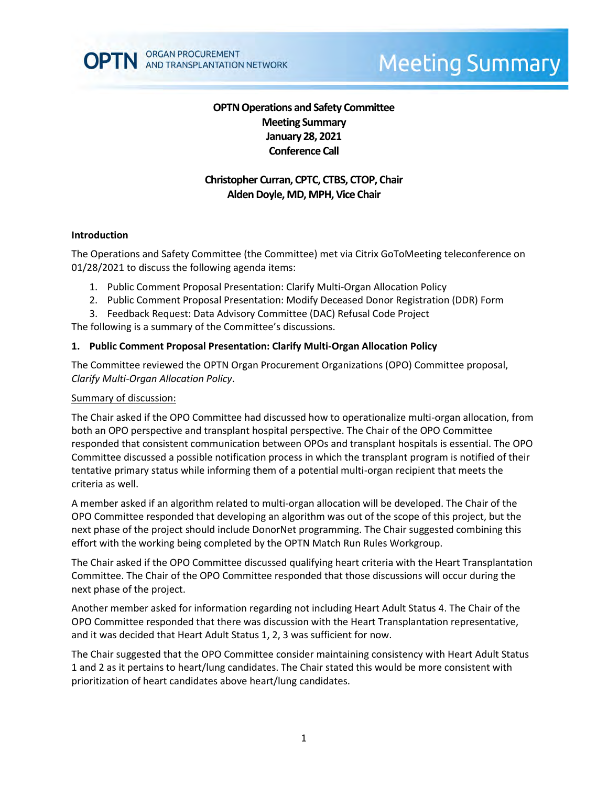# **OPTN Operations and Safety Committee Meeting Summary January 28, 2021 Conference Call**

# **Christopher Curran, CPTC, CTBS, CTOP, Chair Alden Doyle, MD, MPH, Vice Chair**

#### **Introduction**

The Operations and Safety Committee (the Committee) met via Citrix GoToMeeting teleconference on 01/28/2021 to discuss the following agenda items:

- 1. Public Comment Proposal Presentation: Clarify Multi-Organ Allocation Policy
- 2. Public Comment Proposal Presentation: Modify Deceased Donor Registration (DDR) Form
- 3. Feedback Request: Data Advisory Committee (DAC) Refusal Code Project

The following is a summary of the Committee's discussions.

### **1. Public Comment Proposal Presentation: Clarify Multi-Organ Allocation Policy**

The Committee reviewed the OPTN Organ Procurement Organizations (OPO) Committee proposal, *Clarify Multi-Organ Allocation Policy*.

#### Summary of discussion:

The Chair asked if the OPO Committee had discussed how to operationalize multi-organ allocation, from both an OPO perspective and transplant hospital perspective. The Chair of the OPO Committee responded that consistent communication between OPOs and transplant hospitals is essential. The OPO Committee discussed a possible notification process in which the transplant program is notified of their tentative primary status while informing them of a potential multi-organ recipient that meets the criteria as well.

A member asked if an algorithm related to multi-organ allocation will be developed. The Chair of the OPO Committee responded that developing an algorithm was out of the scope of this project, but the next phase of the project should include DonorNet programming. The Chair suggested combining this effort with the working being completed by the OPTN Match Run Rules Workgroup.

The Chair asked if the OPO Committee discussed qualifying heart criteria with the Heart Transplantation Committee. The Chair of the OPO Committee responded that those discussions will occur during the next phase of the project.

Another member asked for information regarding not including Heart Adult Status 4. The Chair of the OPO Committee responded that there was discussion with the Heart Transplantation representative, and it was decided that Heart Adult Status 1, 2, 3 was sufficient for now.

The Chair suggested that the OPO Committee consider maintaining consistency with Heart Adult Status 1 and 2 as it pertains to heart/lung candidates. The Chair stated this would be more consistent with prioritization of heart candidates above heart/lung candidates.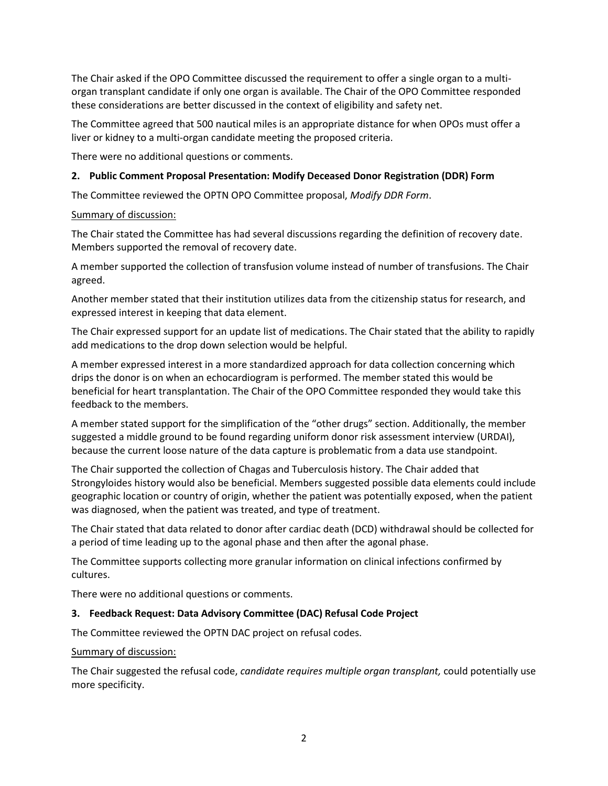The Chair asked if the OPO Committee discussed the requirement to offer a single organ to a multiorgan transplant candidate if only one organ is available. The Chair of the OPO Committee responded these considerations are better discussed in the context of eligibility and safety net.

The Committee agreed that 500 nautical miles is an appropriate distance for when OPOs must offer a liver or kidney to a multi-organ candidate meeting the proposed criteria.

There were no additional questions or comments.

#### **2. Public Comment Proposal Presentation: Modify Deceased Donor Registration (DDR) Form**

The Committee reviewed the OPTN OPO Committee proposal, *Modify DDR Form*.

#### Summary of discussion:

The Chair stated the Committee has had several discussions regarding the definition of recovery date. Members supported the removal of recovery date.

A member supported the collection of transfusion volume instead of number of transfusions. The Chair agreed.

Another member stated that their institution utilizes data from the citizenship status for research, and expressed interest in keeping that data element.

The Chair expressed support for an update list of medications. The Chair stated that the ability to rapidly add medications to the drop down selection would be helpful.

A member expressed interest in a more standardized approach for data collection concerning which drips the donor is on when an echocardiogram is performed. The member stated this would be beneficial for heart transplantation. The Chair of the OPO Committee responded they would take this feedback to the members.

A member stated support for the simplification of the "other drugs" section. Additionally, the member suggested a middle ground to be found regarding uniform donor risk assessment interview (URDAI), because the current loose nature of the data capture is problematic from a data use standpoint.

The Chair supported the collection of Chagas and Tuberculosis history. The Chair added that Strongyloides history would also be beneficial. Members suggested possible data elements could include geographic location or country of origin, whether the patient was potentially exposed, when the patient was diagnosed, when the patient was treated, and type of treatment.

The Chair stated that data related to donor after cardiac death (DCD) withdrawal should be collected for a period of time leading up to the agonal phase and then after the agonal phase.

The Committee supports collecting more granular information on clinical infections confirmed by cultures.

There were no additional questions or comments.

#### **3. Feedback Request: Data Advisory Committee (DAC) Refusal Code Project**

The Committee reviewed the OPTN DAC project on refusal codes.

#### Summary of discussion:

The Chair suggested the refusal code, *candidate requires multiple organ transplant,* could potentially use more specificity.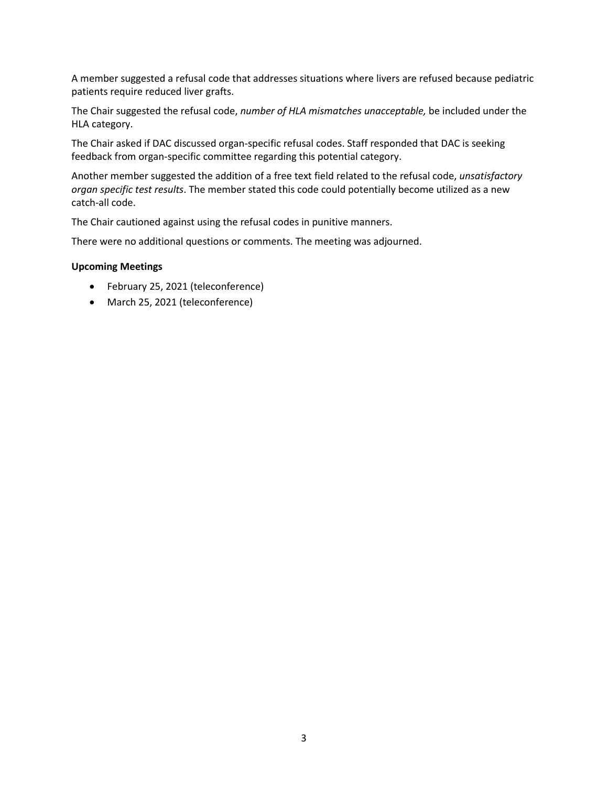A member suggested a refusal code that addresses situations where livers are refused because pediatric patients require reduced liver grafts.

The Chair suggested the refusal code, *number of HLA mismatches unacceptable,* be included under the HLA category.

The Chair asked if DAC discussed organ-specific refusal codes. Staff responded that DAC is seeking feedback from organ-specific committee regarding this potential category.

Another member suggested the addition of a free text field related to the refusal code, *unsatisfactory organ specific test results*. The member stated this code could potentially become utilized as a new catch-all code.

The Chair cautioned against using the refusal codes in punitive manners.

There were no additional questions or comments. The meeting was adjourned.

#### **Upcoming Meetings**

- February 25, 2021 (teleconference)
- March 25, 2021 (teleconference)